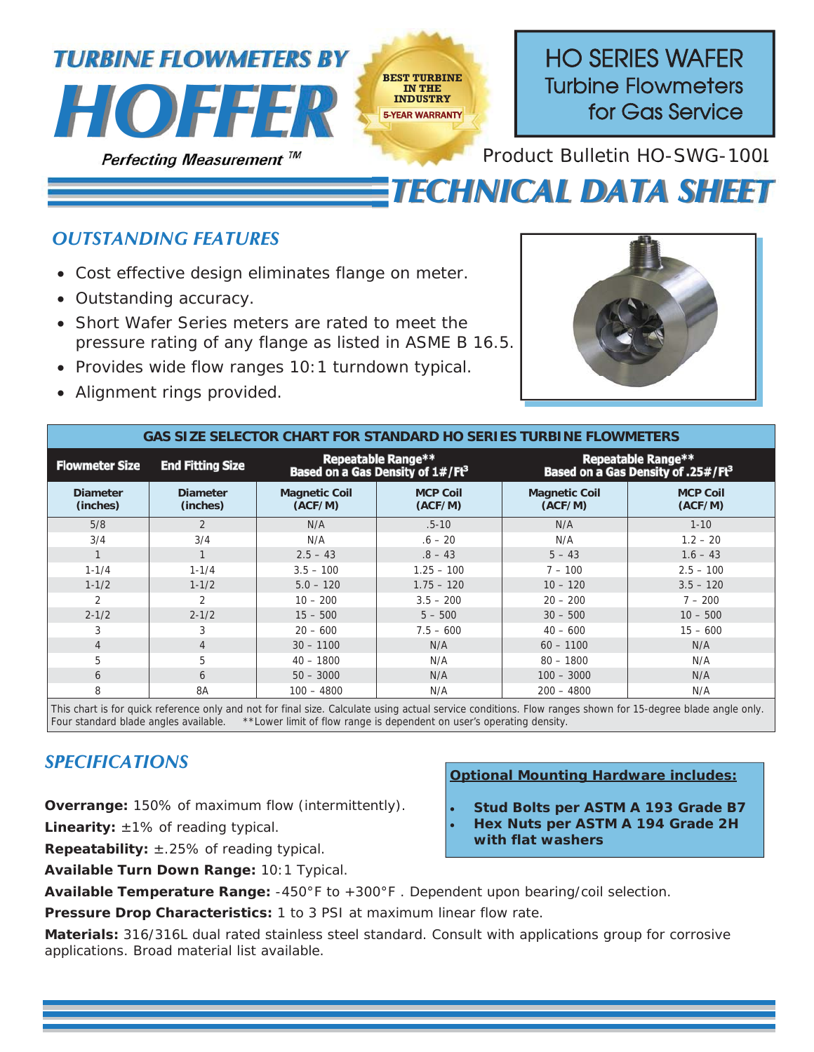

## *OUTSTANDING FEATURES*

- Cost effective design eliminates flange on meter.
- Outstanding accuracy.
- Short Wafer Series meters are rated to meet the pressure rating of any flange as listed in ASME B 16.5.
- Provides wide flow ranges 10:1 turndown typical.
- Alignment rings provided.



*TECHNICAL DATA SHEET*

| <b>GAS SIZE SELECTOR CHART FOR STANDARD HO SERIES TURBINE FLOWMETERS</b> |                             |                                                                           |                            |                                                                             |                            |
|--------------------------------------------------------------------------|-----------------------------|---------------------------------------------------------------------------|----------------------------|-----------------------------------------------------------------------------|----------------------------|
| <b>Flowmeter Size</b>                                                    | <b>End Fitting Size</b>     | <b>Repeatable Range**</b><br>Based on a Gas Density of 1#/Ft <sup>3</sup> |                            | <b>Repeatable Range**</b><br>Based on a Gas Density of .25#/Ft <sup>3</sup> |                            |
| <b>Diameter</b><br>(inches)                                              | <b>Diameter</b><br>(inches) | <b>Magnetic Coil</b><br>(ACF/M)                                           | <b>MCP Coil</b><br>(ACF/M) | <b>Magnetic Coil</b><br>(ACF/M)                                             | <b>MCP Coil</b><br>(ACF/M) |
| 5/8                                                                      | $\overline{2}$              | N/A                                                                       | $.5 - 10$                  | N/A                                                                         | $1 - 10$                   |
| 3/4                                                                      | 3/4                         | N/A                                                                       | $.6 - 20$                  | N/A                                                                         | $1.2 - 20$                 |
|                                                                          | $\mathbf{1}$                | $2.5 - 43$                                                                | $.8 - 43$                  | $5 - 43$                                                                    | $1.6 - 43$                 |
| $1 - 1/4$                                                                | $1 - 1/4$                   | $3.5 - 100$                                                               | $1.25 - 100$               | $7 - 100$                                                                   | $2.5 - 100$                |
| $1 - 1/2$                                                                | $1 - 1/2$                   | $5.0 - 120$                                                               | $1.75 - 120$               | $10 - 120$                                                                  | $3.5 - 120$                |
| $\mathfrak{D}$                                                           | $\overline{2}$              | $10 - 200$                                                                | $3.5 - 200$                | $20 - 200$                                                                  | $7 - 200$                  |
| $2 - 1/2$                                                                | $2 - 1/2$                   | $15 - 500$                                                                | $5 - 500$                  | $30 - 500$                                                                  | $10 - 500$                 |
| 3                                                                        | 3                           | $20 - 600$                                                                | $7.5 - 600$                | $40 - 600$                                                                  | $15 - 600$                 |
| $\overline{4}$                                                           | $\overline{4}$              | $30 - 1100$                                                               | N/A                        | $60 - 1100$                                                                 | N/A                        |
| 5                                                                        | 5                           | $40 - 1800$                                                               | N/A                        | $80 - 1800$                                                                 | N/A                        |
| 6                                                                        | 6                           | $50 - 3000$                                                               | N/A                        | $100 - 3000$                                                                | N/A                        |
| 8                                                                        | 8A                          | $100 - 4800$                                                              | N/A                        | $200 - 4800$                                                                | N/A                        |

This chart is for quick reference only and not for final size. Calculate using actual service conditions. Flow ranges shown for 15-degree blade angle only.<br>Four standard blade angles available. \*\*Lower limit of flow range \*\* Lower limit of flow range is dependent on user's operating density.

## *SPECIFICATIONS*

**Overrange:** 150% of maximum flow (intermittently).

Linearity:  $\pm 1\%$  of reading typical.

**Repeatability:** ±.25% of reading typical.

**Available Turn Down Range:** 10:1 Typical.

**Optional Mounting Hardware includes:** 

- x **Stud Bolts per ASTM A 193 Grade B7**
- x **Hex Nuts per ASTM A 194 Grade 2H** 
	- **with flat washers**

**Available Temperature Range:** -450°F to +300°F . Dependent upon bearing/coil selection.

**Pressure Drop Characteristics:** 1 to 3 PSI at maximum linear flow rate.

**Materials:** 316/316L dual rated stainless steel standard. Consult with applications group for corrosive applications. Broad material list available.